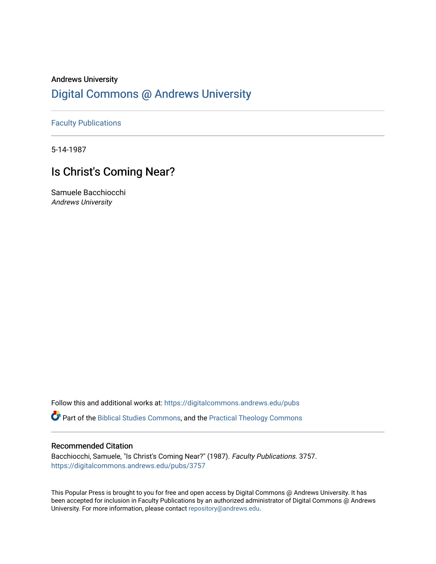## Andrews University [Digital Commons @ Andrews University](https://digitalcommons.andrews.edu/)

[Faculty Publications](https://digitalcommons.andrews.edu/pubs)

5-14-1987

# Is Christ's Coming Near?

Samuele Bacchiocchi Andrews University

Follow this and additional works at: [https://digitalcommons.andrews.edu/pubs](https://digitalcommons.andrews.edu/pubs?utm_source=digitalcommons.andrews.edu%2Fpubs%2F3757&utm_medium=PDF&utm_campaign=PDFCoverPages) 

Part of the [Biblical Studies Commons,](http://network.bepress.com/hgg/discipline/539?utm_source=digitalcommons.andrews.edu%2Fpubs%2F3757&utm_medium=PDF&utm_campaign=PDFCoverPages) and the [Practical Theology Commons](http://network.bepress.com/hgg/discipline/1186?utm_source=digitalcommons.andrews.edu%2Fpubs%2F3757&utm_medium=PDF&utm_campaign=PDFCoverPages) 

## Recommended Citation

Bacchiocchi, Samuele, "Is Christ's Coming Near?" (1987). Faculty Publications. 3757. [https://digitalcommons.andrews.edu/pubs/3757](https://digitalcommons.andrews.edu/pubs/3757?utm_source=digitalcommons.andrews.edu%2Fpubs%2F3757&utm_medium=PDF&utm_campaign=PDFCoverPages) 

This Popular Press is brought to you for free and open access by Digital Commons @ Andrews University. It has been accepted for inclusion in Faculty Publications by an authorized administrator of Digital Commons @ Andrews University. For more information, please contact [repository@andrews.edu](mailto:repository@andrews.edu).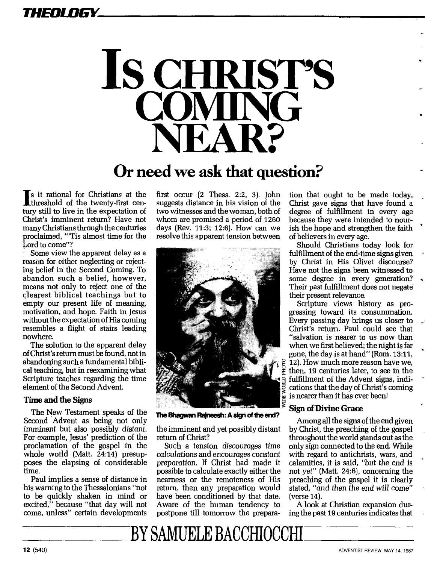# *THEOLOGY*



# **Or need we ask that question?**

Is it rational for Christians at the threshold of the twenty-first century still to live in the expectation of Christ's imminent return? Have not many Christians through the centuries proclaimed, "'Tis almost time for the Lord to come"?

Some view the apparent delay as a reason for either neglecting or rejecting belief in the Second Coming. To abandon such a belief, however, means not only to reject one of the clearest biblical teachings but to empty our present life of meaning, motivation, and hope. Faith in Jesus without the expectation of His coming resembles a flight of stairs leading nowhere.

The solution to the apparent delay of Christ's return must be found, not in abandoning such a fundamental biblical teaching, but in reexamining what Scripture teaches regarding the time element of the Second Advent.

### **Time and the Signs**

The New Testament speaks of the Second Advent as being not only imminent but also possibly distant. For example, Jesus' prediction of the proclamation of the gospel in the whole world (Matt. 24:14) presupposes the elapsing of considerable time.

Paul implies a sense of distance in his warning to the Thessalonians "not to be quickly shaken in mind or excited," because "that day will not come, unless" certain developments

first occur (2 Thess. 2:2, 3). John suggests distance in his vision of the two witnesses and the woman, both of whom are promised a period of 1260 days (Rev. 11:3; 12:6). How can we resolve this apparent tension between



**The Bhagwan Rajneesh: A sign of the end?** 

the imminent and yet possibly distant return of Christ?

Such a tension discourages time calculations and encourages constant preparation. If Christ had made it possible to calculate exactly either the nearness or the remoteness of His return, then any preparation would have been conditioned by that date. Aware of the human tendency to postpone till tomorrow the preparation that ought to be made today, Christ gave signs that have found a degree of fulfillment in every age because they were intended to nourish the hope and strengthen the faith of believers in every age.

Should Christians today look for fulfillment of the end-time signs given by Christ in His Olivet discourse? Have not the signs been witnessed to some degree in every generation? Their past fulfillment does not negate their present relevance.

Scripture views history as progressing toward its consummation. Every passing day brings us closer to Christ's return. Paul could see that "salvation is nearer to us now than when we first believed; the night is far gone, the day is at hand" (Rom. 13:11, 12). How much more reason have we, then, 19 centuries later, to see in the fulfillment of the Advent signs, indications that the day of Christ's coming is nearer than it has ever been!

### **Sign of Divine Grace**

Among all the signs of the end given by Christ, the preaching of the gospel throughout the world stands out as the only sign connected to the end. While with regard to antichrists, wars, and calamities, it is said, "but the *end* is not yet" (Matt. 24:6), concerning the preaching of the gospel it is clearly stated, "and then the end will come" (verse 14).

A look at Christian expansion during the past 19 centuries indicates that

BY SAMUELE BACCHIOCCHI